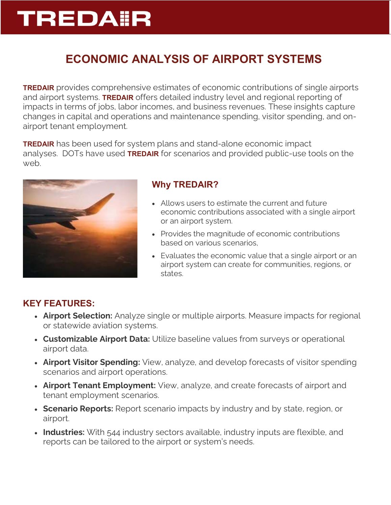# **TREDA ER**

## ECONOMIC ANALYSIS OF AIRPORT SYSTEMS

**TREDAIR** provides comprehensive estimates of economic contributions of single airports and airport systems. TREDAIR offers detailed industry level and regional reporting of impacts in terms of jobs, labor incomes, and business revenues. These insights capture changes in capital and operations and maintenance spending, visitor spending, and onairport tenant employment.

**TREDAIR** has been used for system plans and stand-alone economic impact analyses. DOTs have used **TREDAIR** for scenarios and provided public-use tools on the web.



### Why TREDAIR?

- Allows users to estimate the current and future economic contributions associated with a single airport or an airport system.
- Provides the magnitude of economic contributions based on various scenarios,
- Evaluates the economic value that a single airport or an airport system can create for communities, regions, or states.

### KEY FEATURES:

- Airport Selection: Analyze single or multiple airports. Measure impacts for regional or statewide aviation systems.
- Customizable Airport Data: Utilize baseline values from surveys or operational airport data.
- Airport Visitor Spending: View, analyze, and develop forecasts of visitor spending scenarios and airport operations.
- Airport Tenant Employment: View, analyze, and create forecasts of airport and tenant employment scenarios.
- Scenario Reports: Report scenario impacts by industry and by state, region, or airport.
- Industries: With 544 industry sectors available, industry inputs are flexible, and reports can be tailored to the airport or system's needs.